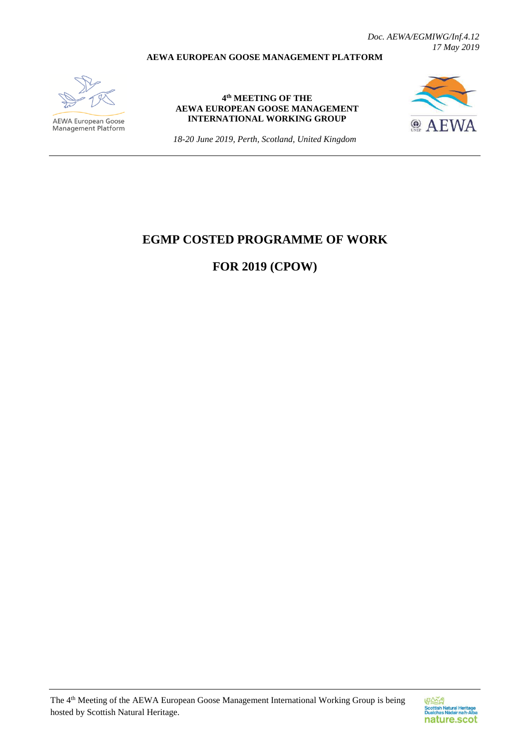*Doc. AEWA/EGMIWG/Inf.4.12 17 May 2019*

## **AEWA EUROPEAN GOOSE MANAGEMENT PLATFORM**



**AEWA European Goose**<br>Management Platform

**4 th MEETING OF THE AEWA EUROPEAN GOOSE MANAGEMENT INTERNATIONAL WORKING GROUP**



*18-20 June 2019, Perth, Scotland, United Kingdom*

## **EGMP COSTED PROGRAMME OF WORK**

**FOR 2019 (CPOW)**

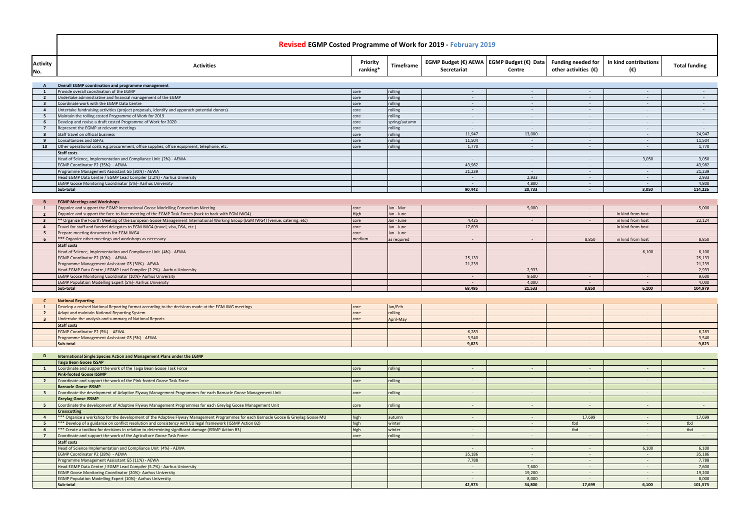|                                           | <b>Revised EGMP Costed Programme of Work for 2019 - February 2019</b>                                                                                                                                                                             |                      |                             |                                                            |                                    |                                                     |                              |                          |  |
|-------------------------------------------|---------------------------------------------------------------------------------------------------------------------------------------------------------------------------------------------------------------------------------------------------|----------------------|-----------------------------|------------------------------------------------------------|------------------------------------|-----------------------------------------------------|------------------------------|--------------------------|--|
| <b>Activity</b><br>No.                    | <b>Activities</b>                                                                                                                                                                                                                                 | Priority<br>ranking* | Timeframe                   | EGMP Budget (€) AEWA   EGMP Budget (€) Data<br>Secretariat | Centre                             | Funding needed for<br>other activities $(\epsilon)$ | In kind contributions<br>(€) | <b>Total funding</b>     |  |
| A                                         | Overall EGMP coordination and programme management                                                                                                                                                                                                |                      |                             |                                                            |                                    |                                                     |                              |                          |  |
| $\mathbf{1}$                              | Provide overall coordination of the EGMP                                                                                                                                                                                                          | core                 | rolling                     | $\sim$                                                     | $\sim$                             |                                                     |                              | $\sim$                   |  |
| $\overline{2}$                            | Undertake administrative and financial management of the EGMP<br>Coordinate work with the EGMP Data Centre                                                                                                                                        | core                 | rolling<br>rolling          | $\sim$                                                     | $\sim$<br>$\sim$                   | $\sim$                                              | $\sim$<br>$\sim$             | $\sim$ $-$               |  |
| $\overline{\mathbf{3}}$<br>$\overline{4}$ | Untertake fundraising activities (project proposals, identify and apporach potential donors)                                                                                                                                                      | core<br>core         | rolling                     | $\sim$<br>$\sim$                                           | $\sim$                             | $\sim$<br>$\sim$                                    | $\sim$                       | $\sim 100$<br>$\sim$ $-$ |  |
| - 5                                       | Maintain the rolling costed Programme of Work for 2019                                                                                                                                                                                            | core                 | rolling                     | $\sim$                                                     | $\sim$                             | $\sim$ $-$                                          | $\sim$                       |                          |  |
| 6                                         | Develop and revise a draft costed Programme of Work for 2020<br>Represent the EGMP at relevant meetings                                                                                                                                           | core                 | spring/autumn               | $\sim$                                                     | $\sim$                             | $\sim$                                              | $\sim$                       | $\sim$ $-$               |  |
| $\overline{7}$<br>-8                      | Staff travel on official business                                                                                                                                                                                                                 | core<br>core         | rolling<br>rolling          | $\sim$<br>11,947                                           | $\sim$<br>13,000                   | $\sim$<br>$\sim$ $ \sim$                            | $\sim$<br>$\sim$             | $\sim$<br>24,947         |  |
| 9                                         | <b>Consultancies and SSFAs</b>                                                                                                                                                                                                                    | core                 | rolling                     | 11,504                                                     | $\sim$                             | $\sim$                                              | $\sim$                       | 11,504                   |  |
| 10                                        | Other operational costs e.g.procurement, office supplies, office equipment, telephone, etc.                                                                                                                                                       | core                 | rolling                     | 1,770                                                      | $\sim$                             | $\sim$ $-$                                          | ÷                            | 1,770                    |  |
|                                           | <b>Staff costs</b><br>Head of Science, Implementation and Compliance Unit (2%) - AEWA                                                                                                                                                             |                      |                             | $\sim$                                                     | $\sim$                             | $\sim$                                              | 3,050                        | 3,050                    |  |
|                                           | EGMP Coordinator P2 (35%) - AEWA                                                                                                                                                                                                                  |                      |                             | 43,982                                                     | $\sim$                             | $\sim$                                              | $\sim$ $-$                   | 43,982                   |  |
|                                           | Programme Management Assisstant G5 (30%) - AEWA                                                                                                                                                                                                   |                      |                             | 21,239                                                     | $\sim$                             | $\sim$ $ \sim$                                      | $\sim$                       | 21,239                   |  |
|                                           | Head EGMP Data Centre / EGMP Lead Compiler (2.2%) - Aarhus University<br>EGMP Goose Monitoring Coordinator (5%)- Aarhus University                                                                                                                |                      |                             | $\sim$<br>$\sim$ $-$                                       | 2,933<br>4,800                     | $\sim$<br>$\sim$                                    | $\sim$<br>$\sim$ $-$         | 2,933<br>4,800           |  |
|                                           | Sub-total                                                                                                                                                                                                                                         |                      |                             | 90,442                                                     | 20,733                             | $\sim$                                              | 3,050                        | 114,226                  |  |
|                                           |                                                                                                                                                                                                                                                   |                      |                             |                                                            |                                    |                                                     |                              |                          |  |
| $\mathbf{1}$                              | <b>EGMP Meetings and Workshops</b><br>Organize and support the EGMP International Goose Modelling Consortium Meeting                                                                                                                              | core                 | Jan - Mar                   | $\sim$                                                     | 5,000                              | $\sim$                                              | $\sim$                       | 5,000                    |  |
| $\overline{2}$                            | Organize and support the face-to-face meeting of the EGMP Task Forces (back to back with EGM IWG4)                                                                                                                                                | High                 | Jan - June                  | $\sim$                                                     | $\sim$                             | $\sim$ 10 $\pm$                                     | in kind from host            | $\sim$                   |  |
| $\overline{\mathbf{3}}$                   | ** Organize the Fourth Meeting of the European Goose Management International Working Group (EGM IWG4) (venue, catering, etc)                                                                                                                     | core                 | Jan - June                  | 4,425                                                      | $\sim$                             | $\sim$ $-$                                          | in kind from host            | 22,124                   |  |
| $\overline{4}$                            | Travel for staff and funded delegates to EGM IWG4 (travel, visa, DSA, etc.)                                                                                                                                                                       | core                 | Jan - June                  | 17,699                                                     |                                    |                                                     | in kind from host            |                          |  |
| 5<br>6                                    | Prepare meeting documents for EGM IWG4<br>*** Organize other meetings and workshops as necessary                                                                                                                                                  | core<br>medium       | Jan - June<br>as required   | $\sim$<br>$\sim$                                           | $\sim$                             | $\sim$ $-$<br>8,850                                 | $\sim$<br>in kind from host  | $\sim$<br>8,850          |  |
|                                           | <b>Staff costs</b>                                                                                                                                                                                                                                |                      |                             |                                                            |                                    |                                                     |                              |                          |  |
|                                           | Head of Science, Implementation and Compliance Unit (4%) - AEWA                                                                                                                                                                                   |                      |                             | $\sim$                                                     | $\sim$                             | $\sim$                                              | 6,100                        | 6,100                    |  |
|                                           | EGMP Coordinator P2 (20%) - AEWA<br>Programme Management Assisstant G5 (30%) - AEWA                                                                                                                                                               |                      |                             | 25,133<br>21,239                                           | $\sim$<br>$\sim$                   | $\sim$<br>$\sim$                                    | $\sim$<br>$\sim$             | 25,133<br>21,239         |  |
|                                           | Head EGMP Data Centre / EGMP Lead Compiler (2.2%) - Aarhus University                                                                                                                                                                             |                      |                             | $\sim$                                                     | 2,933                              | $\sim$                                              | $\sim$                       | 2,933                    |  |
|                                           | EGMP Goose Monitoring Coordinator (10%)- Aarhus University                                                                                                                                                                                        |                      |                             | $\sim$                                                     | 9,600                              |                                                     | $\sim$                       | 9,600                    |  |
|                                           | EGMP Population Modelling Expert (5%)- Aarhus University                                                                                                                                                                                          |                      |                             | $\sim$                                                     | 4,000                              | $\sim$                                              | $\sim$                       | 4,000                    |  |
|                                           | Sub-total                                                                                                                                                                                                                                         |                      |                             | 68,495                                                     | 21,533                             | 8,850                                               | 6,100                        | 104,979                  |  |
| <b>C</b>                                  | <b>National Reporting</b>                                                                                                                                                                                                                         |                      |                             |                                                            |                                    |                                                     |                              |                          |  |
|                                           | Develop a revised National Reporting format according to the decisions made at the EGM IWG meetings                                                                                                                                               | core                 | Jan/Feb                     | $\sim$                                                     | $\sim$                             |                                                     | $\sim$                       | $\sim$ $-$               |  |
| $\overline{2}$                            | <b>Adapt and maintain National Reporting System</b><br>Undertake the analysis and summary of National Reports                                                                                                                                     | core<br>core         | rolling<br><b>April-May</b> | $\sim$                                                     | $\sim$<br>$\overline{\phantom{a}}$ | $\sim$                                              | $\sim$<br>$\sim$             | $\sim$<br>$\sim$ $ \sim$ |  |
|                                           | <b>Staff costs</b>                                                                                                                                                                                                                                |                      |                             |                                                            |                                    |                                                     |                              |                          |  |
|                                           | EGMP Coordinator P2 (5%) - AEWA                                                                                                                                                                                                                   |                      |                             | 6,283                                                      | $\sim$                             | $\sim$ $-$                                          | $\sim$                       | 6,283                    |  |
|                                           | Programme Management Assisstant G5 (5%) - AEWA<br>Sub-total                                                                                                                                                                                       |                      |                             | 3,540<br>9,823                                             | $\sim$<br>$\overline{\phantom{a}}$ |                                                     | $\sim$ $-$<br>$\sim$         | 3,540<br>9,823           |  |
|                                           |                                                                                                                                                                                                                                                   |                      |                             |                                                            |                                    |                                                     |                              |                          |  |
| D                                         | International Single Species Action and Management Plans under the EGMP                                                                                                                                                                           |                      |                             |                                                            |                                    |                                                     |                              |                          |  |
| $\mathbf{1}$                              | Taiga Bean Goose ISSAP<br>Coordinate and support the work of the Taiga Bean Goose Task Force                                                                                                                                                      | core                 | rolling                     | $\sim$                                                     | $\sim$                             | $\sim$ $-$                                          | $\sim$ 100 $\pm$             | $\sim$ 100 $\pm$         |  |
|                                           | <b>Pink-footed Goose ISSMP</b>                                                                                                                                                                                                                    |                      |                             |                                                            |                                    |                                                     |                              |                          |  |
| $\overline{2}$                            | Coordinate and support the work of the Pink-footed Goose Task Force                                                                                                                                                                               | core                 | rolling                     | $\sim$                                                     | $\sim$                             | $\sim$                                              | $\sim$ $-$                   | $\sim 10$                |  |
|                                           | <b>Barnacle Goose ISSMP</b><br>Coordinate the development of Adaptive Flyway Management Programmes for each Barnacle Goose Management Unit                                                                                                        |                      |                             |                                                            |                                    |                                                     | $\sim$                       | $\sim$ 10 $\pm$          |  |
| $\overline{\mathbf{3}}$                   | <b>Greylag Goose ISSMP</b>                                                                                                                                                                                                                        | core                 | rolling                     | $\sim$                                                     | $\sim$                             |                                                     |                              |                          |  |
| 5 <sup>5</sup>                            | Coordinate the development of Adaptive Flyway Management Programmes for each Greylag Goose Management Unit                                                                                                                                        | core                 | rolling                     | $\sim$                                                     | $\sim$                             | $\sim$                                              | $\sim$                       | $\sim$ $-$               |  |
|                                           | <b>Crosscutting</b>                                                                                                                                                                                                                               |                      |                             |                                                            |                                    |                                                     |                              |                          |  |
| $\overline{4}$<br>5 <sup>5</sup>          | *** Organize a workshop for the development of the Adaptive Flyway Management Programmes for each Barnacle Goose & Greylag Goose MU<br>*** Develop of a guidance on conflict resolution and consistency with EU legal framework (ISSMP Action B2) | high<br>high         | autumn<br>winter            | $\sim$                                                     | $\sim$<br>$\sim$                   | 17,699<br>tbd                                       | $\sim 100$<br>$\sim$         | 17,699<br>tbd            |  |
| -6                                        | *** Create a toolbox for decisions in relation to determining significant damage (ISSMP Action B3)                                                                                                                                                | high                 | winter                      | $\sim$                                                     | $\sim$                             | tbd                                                 | $\sim$ $-$                   | tbd                      |  |
| $\overline{7}$                            | Coordinate and support the work of the Agriculture Goose Task Force                                                                                                                                                                               | core                 | rolling                     | $\sim$                                                     | $\sim$                             |                                                     | $\sim$                       | $\sim$                   |  |
|                                           | <b>Staff costs</b><br>Head of Science Implementation and Compliance Unit (4%) - AEWA                                                                                                                                                              |                      |                             | $\sim$                                                     | $\sim$                             | $\sim$                                              | 6,100                        | 6,100                    |  |
|                                           | EGMP Coordinator P2 (28%) - AEWA                                                                                                                                                                                                                  |                      |                             | 35,186                                                     | $\sim$                             | $\sim$                                              | $\sim$                       | 35,186                   |  |
|                                           | Programme Management Assisstant G5 (11%) - AEWA                                                                                                                                                                                                   |                      |                             | 7,788                                                      | $\sim$                             |                                                     | $\sim$ $-$                   | 7,788                    |  |
|                                           | Head EGMP Data Centre / EGMP Lead Compiler (5.7%) - Aarhus University                                                                                                                                                                             |                      |                             | $\sim 100$                                                 | 7,600                              | $\sim$ $-$                                          | $\sim$ 100 $\pm$             | 7,600                    |  |
|                                           | EGMP Goose Monitoring Coordinator (20%)- Aarhus University<br>EGMP Population Modelling Expert (10%)- Aarhus University                                                                                                                           |                      |                             | $\sim$<br>$\sim$                                           | 19,200<br>8,000                    | $\sim$<br>$\sim$                                    | $\sim$<br>$\sim$             | 19,200<br>8,000          |  |
|                                           | Sub-total                                                                                                                                                                                                                                         |                      |                             | 42,973                                                     | 34,800                             | 17,699                                              | 6,100                        | 101,573                  |  |